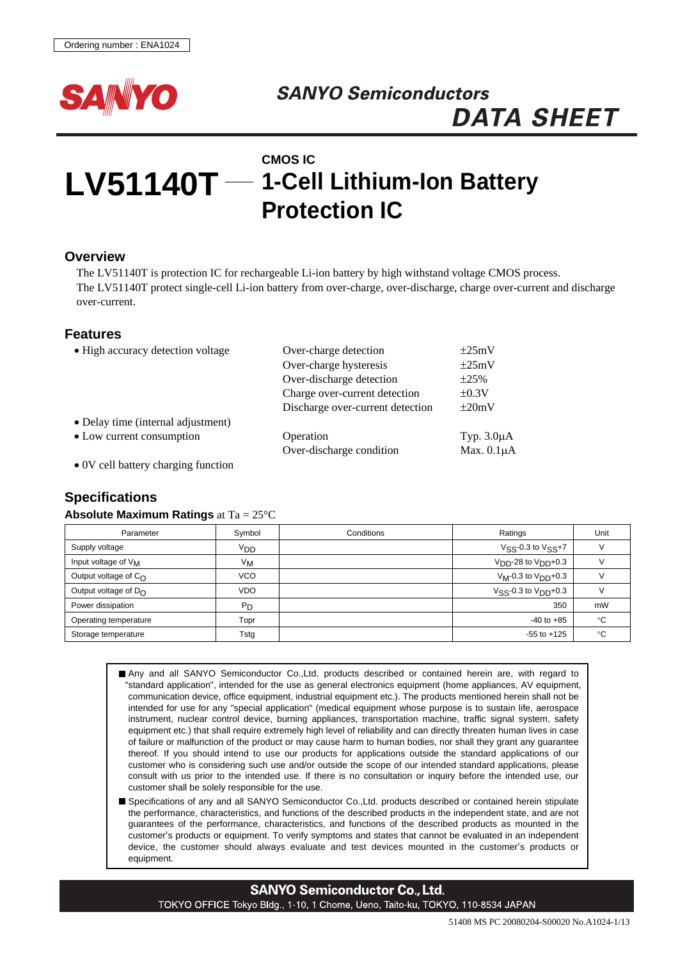

# **SANYO Semiconductors DATA SHEET**

# **LV51140T 1-Cell Lithium-Ion Battery CMOS IC Protection IC**

#### **Overview**

The LV51140T is protection IC for rechargeable Li-ion battery by high withstand voltage CMOS process. The LV51140T protect single-cell Li-ion battery from over-charge, over-discharge, charge over-current and discharge over-current.

#### **Features**

| • High accuracy detection voltage  | Over-charge detection            | $\pm 25 \text{mV}$ |
|------------------------------------|----------------------------------|--------------------|
|                                    | Over-charge hysteresis           | $\pm 25 \text{mV}$ |
|                                    | Over-discharge detection         | $\pm 25\%$         |
|                                    | Charge over-current detection    | $\pm 0.3V$         |
|                                    | Discharge over-current detection | $\pm 20$ mV        |
| • Delay time (internal adjustment) |                                  |                    |
| • Low current consumption          | Operation                        | Typ. $3.0\mu A$    |
|                                    | Over-discharge condition         | Max. $0.1\mu A$    |
| $\alpha$                           |                                  |                    |

• 0V cell battery charging function

## **Specifications**

#### **Absolute Maximum Ratings** at Ta = 25°C

| Parameter                       | Symbol           | Conditions | Ratings                   | Unit |
|---------------------------------|------------------|------------|---------------------------|------|
| Supply voltage                  | VDD              |            | $VSS-0.3$ to $VSS+7$      |      |
| Input voltage of V <sub>M</sub> | $V_{\mathsf{M}}$ |            | $VDD$ -28 to $VDD+0.3$    |      |
| Output voltage of $C_{\Omega}$  | <b>VCO</b>       |            | $V_M-0.3$ to $V_{DD}+0.3$ |      |
| Output voltage of $D_{\Omega}$  | <b>VDO</b>       |            | $V$ SS-0.3 to $V$ DD+0.3  |      |
| Power dissipation               | $P_D$            |            | 350                       | mW   |
| Operating temperature           | Topr             |            | $-40$ to $+85$            | ۰c   |
| Storage temperature             | Tstg             |            | $-55$ to $+125$           | °C   |

Any and all SANYO Semiconductor Co.,Ltd. products described or contained herein are, with regard to "standard application", intended for the use as general electronics equipment (home appliances, AV equipment, communication device, office equipment, industrial equipment etc.). The products mentioned herein shall not be intended for use for any "special application" (medical equipment whose purpose is to sustain life, aerospace instrument, nuclear control device, burning appliances, transportation machine, traffic signal system, safety equipment etc.) that shall require extremely high level of reliability and can directly threaten human lives in case of failure or malfunction of the product or may cause harm to human bodies, nor shall they grant any guarantee thereof. If you should intend to use our products for applications outside the standard applications of our customer who is considering such use and/or outside the scope of our intended standard applications, please consult with us prior to the intended use. If there is no consultation or inquiry before the intended use, our customer shall be solely responsible for the use.

Specifications of any and all SANYO Semiconductor Co., Ltd. products described or contained herein stipulate the performance, characteristics, and functions of the described products in the independent state, and are not guarantees of the performance, characteristics, and functions of the described products as mounted in the customer's products or equipment. To verify symptoms and states that cannot be evaluated in an independent device, the customer should always evaluate and test devices mounted in the customer's products or equipment.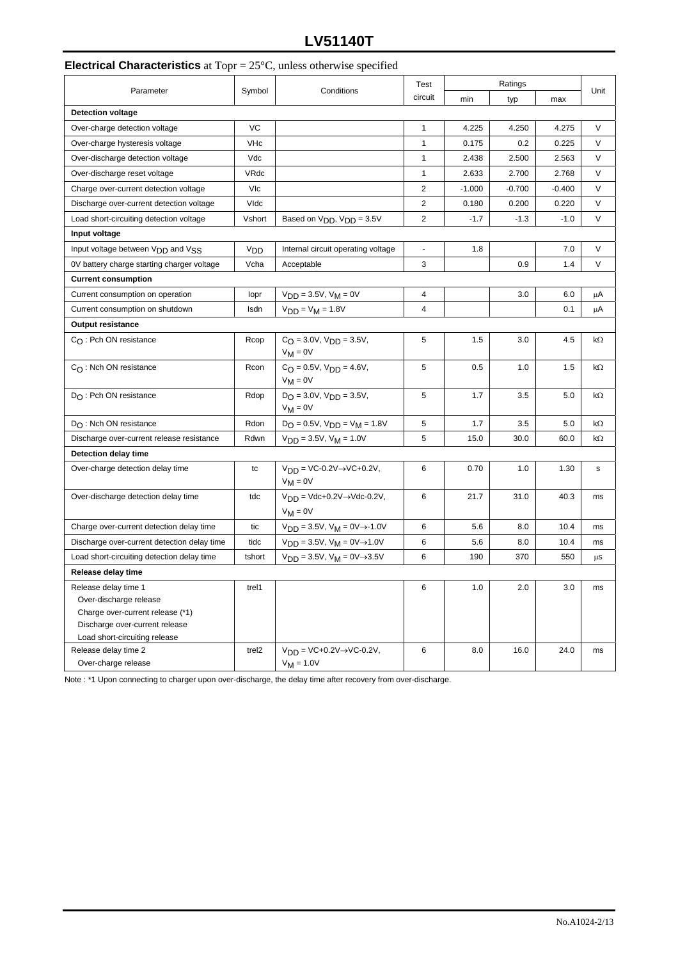# **LV51140T**

# **Electrical Characteristics** at Topr = 25°C, unless otherwise specified

|                                                                                                                                                       |                   | Test                                                      | Ratings        |          |          |          |      |
|-------------------------------------------------------------------------------------------------------------------------------------------------------|-------------------|-----------------------------------------------------------|----------------|----------|----------|----------|------|
| Parameter                                                                                                                                             | Symbol            | Conditions                                                | circuit        | min      | typ      | max      | Unit |
| <b>Detection voltage</b>                                                                                                                              |                   |                                                           |                |          |          |          |      |
| Over-charge detection voltage                                                                                                                         | VC                |                                                           | $\mathbf{1}$   | 4.225    | 4.250    | 4.275    | V    |
| Over-charge hysteresis voltage                                                                                                                        | VHc               |                                                           | $\mathbf{1}$   | 0.175    | 0.2      | 0.225    | V    |
| Over-discharge detection voltage                                                                                                                      | Vdc               |                                                           | 1              | 2.438    | 2.500    | 2.563    | V    |
| Over-discharge reset voltage                                                                                                                          | VRdc              |                                                           | 1              | 2.633    | 2.700    | 2.768    | V    |
| Charge over-current detection voltage                                                                                                                 | <b>VIc</b>        |                                                           | $\overline{2}$ | $-1.000$ | $-0.700$ | $-0.400$ | V    |
| Discharge over-current detection voltage                                                                                                              | Vldc              |                                                           | $\overline{2}$ | 0.180    | 0.200    | 0.220    | V    |
| Load short-circuiting detection voltage                                                                                                               | Vshort            | Based on V <sub>DD</sub> , V <sub>DD</sub> = 3.5V         | $\overline{2}$ | $-1.7$   | $-1.3$   | $-1.0$   | V    |
| Input voltage                                                                                                                                         |                   |                                                           |                |          |          |          |      |
| Input voltage between V <sub>DD</sub> and V <sub>SS</sub>                                                                                             | V <sub>DD</sub>   | Internal circuit operating voltage                        | $\blacksquare$ | 1.8      |          | 7.0      | V    |
| 0V battery charge starting charger voltage                                                                                                            | Vcha              | Acceptable                                                | 3              |          | 0.9      | 1.4      | V    |
| <b>Current consumption</b>                                                                                                                            |                   |                                                           |                |          |          |          |      |
| Current consumption on operation                                                                                                                      | lopr              | $V_{DD} = 3.5V$ , $V_M = 0V$                              | 4              |          | 3.0      | 6.0      | μA   |
| Current consumption on shutdown                                                                                                                       | Isdn              | $V_{DD} = V_M = 1.8V$                                     | $\overline{4}$ |          |          | 0.1      | μA   |
| Output resistance                                                                                                                                     |                   |                                                           |                |          |          |          |      |
| $C_O$ : Pch ON resistance                                                                                                                             | Rcop              | $C_{\Omega} = 3.0V$ , $V_{\Omega} = 3.5V$ ,               | 5              | 1.5      | 3.0      | 4.5      | kΩ   |
|                                                                                                                                                       |                   | $V_M = 0V$                                                |                |          |          |          |      |
| $C_{\Omega}$ : Nch ON resistance                                                                                                                      | Rcon              | $C_O = 0.5V$ , $V_{DD} = 4.6V$ ,<br>$V_M = 0V$            | 5              | 0.5      | 1.0      | 1.5      | kΩ   |
| $D_{\Omega}$ : Pch ON resistance                                                                                                                      | Rdop              | $DO = 3.0V$ , $VDP = 3.5V$ ,<br>$V_M = 0V$                | 5              | 1.7      | 3.5      | 5.0      | kΩ   |
| $D_{\bigcap}$ : Nch ON resistance                                                                                                                     | Rdon              | $D_O = 0.5V$ , $V_{DD} = V_M = 1.8V$                      | 5              | 1.7      | 3.5      | 5.0      | kΩ   |
| Discharge over-current release resistance                                                                                                             | Rdwn              | $V_{DD} = 3.5V$ , $V_M = 1.0V$                            | 5              | 15.0     | 30.0     | 60.0     | kΩ   |
| Detection delay time                                                                                                                                  |                   |                                                           |                |          |          |          |      |
| Over-charge detection delay time                                                                                                                      | tc                | $V_{DD}$ = VC-0.2V $\rightarrow$ VC+0.2V,<br>$V_M = 0V$   | 6              | 0.70     | 1.0      | 1.30     | s    |
| Over-discharge detection delay time                                                                                                                   | tdc               | $V_{DD} = Vdc+0.2V \rightarrow Vdc-0.2V$ ,<br>$V_M = 0V$  | 6              | 21.7     | 31.0     | 40.3     | ms   |
| Charge over-current detection delay time                                                                                                              | tic               | $V_{DD} = 3.5V$ , $V_M = 0V \rightarrow -1.0V$            | 6              | 5.6      | 8.0      | 10.4     | ms   |
| Discharge over-current detection delay time                                                                                                           | tidc              | $V_{DD} = 3.5V$ , $V_M = 0V \rightarrow 1.0V$             | 6              | 5.6      | 8.0      | 10.4     | ms   |
| Load short-circuiting detection delay time                                                                                                            | tshort            | $VDD = 3.5V, VM = 0V \rightarrow 3.5V$                    | 6              | 190      | 370      | 550      | μS   |
| Release delay time                                                                                                                                    |                   |                                                           |                |          |          |          |      |
| Release delay time 1<br>Over-discharge release<br>Charge over-current release (*1)<br>Discharge over-current release<br>Load short-circuiting release | trel1             |                                                           | 6              | 1.0      | 2.0      | 3.0      | ms   |
| Release delay time 2<br>Over-charge release                                                                                                           | trel <sub>2</sub> | $V_{DD}$ = VC+0.2V $\rightarrow$ VC-0.2V,<br>$V_M = 1.0V$ | 6              | 8.0      | 16.0     | 24.0     | ms   |

Note : \*1 Upon connecting to charger upon over-discharge, the delay time after recovery from over-discharge.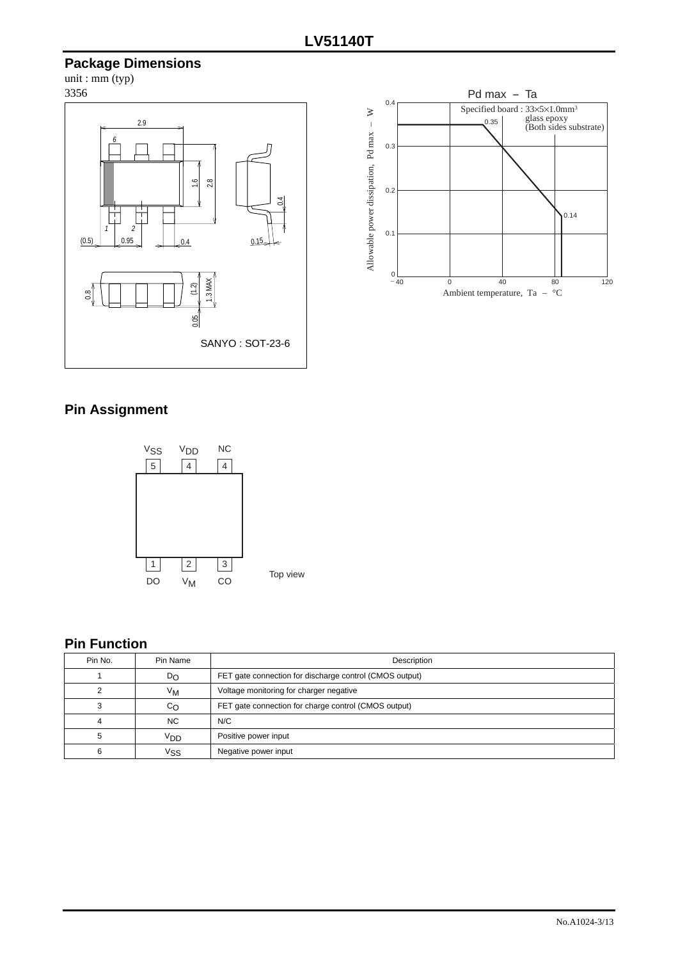# **Package Dimensions**

 $unit : mm (typ)$ 3356





# **Pin Assignment**



# **Pin Function**

| Pin No. | Pin Name         | Description                                             |  |
|---------|------------------|---------------------------------------------------------|--|
|         | $D_{\rm O}$      | FET gate connection for discharge control (CMOS output) |  |
|         | $V_{\mathsf{M}}$ | Voltage monitoring for charger negative                 |  |
|         | $c_{\Omega}$     | FET gate connection for charge control (CMOS output)    |  |
|         | <b>NC</b>        | N/C                                                     |  |
|         | VDD              | Positive power input                                    |  |
|         | Vss              | Negative power input                                    |  |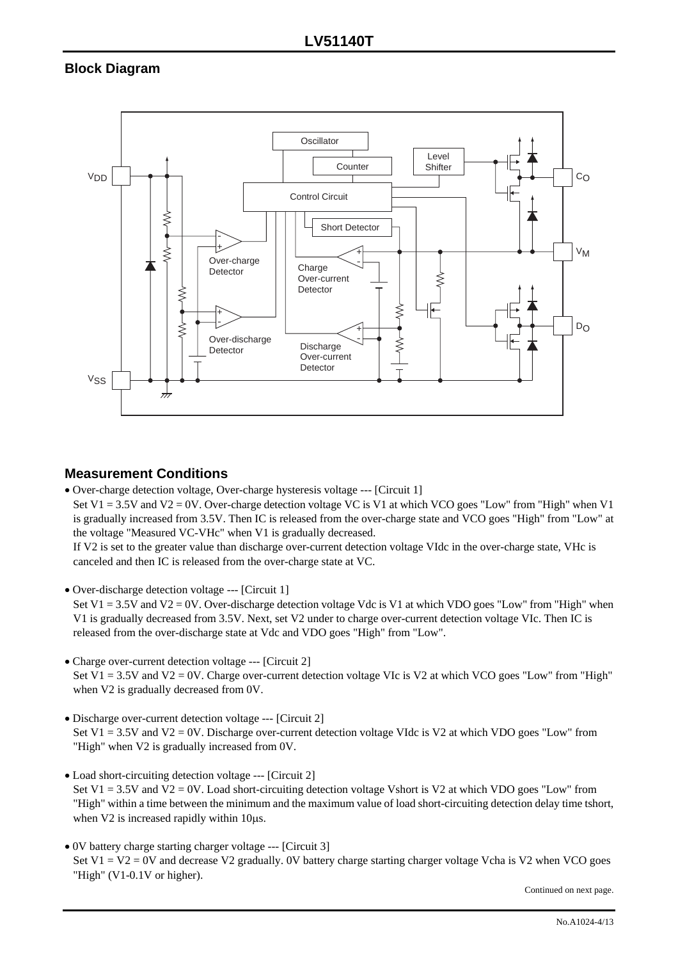# **Block Diagram**



## **Measurement Conditions**

• Over-charge detection voltage, Over-charge hysteresis voltage --- [Circuit 1]

Set V1 = 3.5V and V2 = 0V. Over-charge detection voltage VC is V1 at which VCO goes "Low" from "High" when V1 is gradually increased from 3.5V. Then IC is released from the over-charge state and VCO goes "High" from "Low" at the voltage "Measured VC-VHc" when V1 is gradually decreased.

If V2 is set to the greater value than discharge over-current detection voltage VIdc in the over-charge state, VHc is canceled and then IC is released from the over-charge state at VC.

- Over-discharge detection voltage --- [Circuit 1] Set V1 = 3.5V and V2 = 0V. Over-discharge detection voltage Vdc is V1 at which VDO goes "Low" from "High" when V1 is gradually decreased from 3.5V. Next, set V2 under to charge over-current detection voltage VIc. Then IC is released from the over-discharge state at Vdc and VDO goes "High" from "Low".
- Charge over-current detection voltage --- [Circuit 2] Set V1 = 3.5V and V2 = 0V. Charge over-current detection voltage VIc is V2 at which VCO goes "Low" from "High" when V2 is gradually decreased from 0V.
- Discharge over-current detection voltage --- [Circuit 2] Set V1 = 3.5V and V2 = 0V. Discharge over-current detection voltage VIdc is V2 at which VDO goes "Low" from "High" when V2 is gradually increased from 0V.
- Load short-circuiting detection voltage --- [Circuit 2] Set V1 = 3.5V and V2 = 0V. Load short-circuiting detection voltage Vshort is V2 at which VDO goes "Low" from "High" within a time between the minimum and the maximum value of load short-circuiting detection delay time tshort, when V2 is increased rapidly within 10 $\mu$ s.
- 0V battery charge starting charger voltage --- [Circuit 3] Set V1 = V2 = 0V and decrease V2 gradually. 0V battery charge starting charger voltage Vcha is V2 when VCO goes "High" (V1-0.1V or higher).

Continued on next page.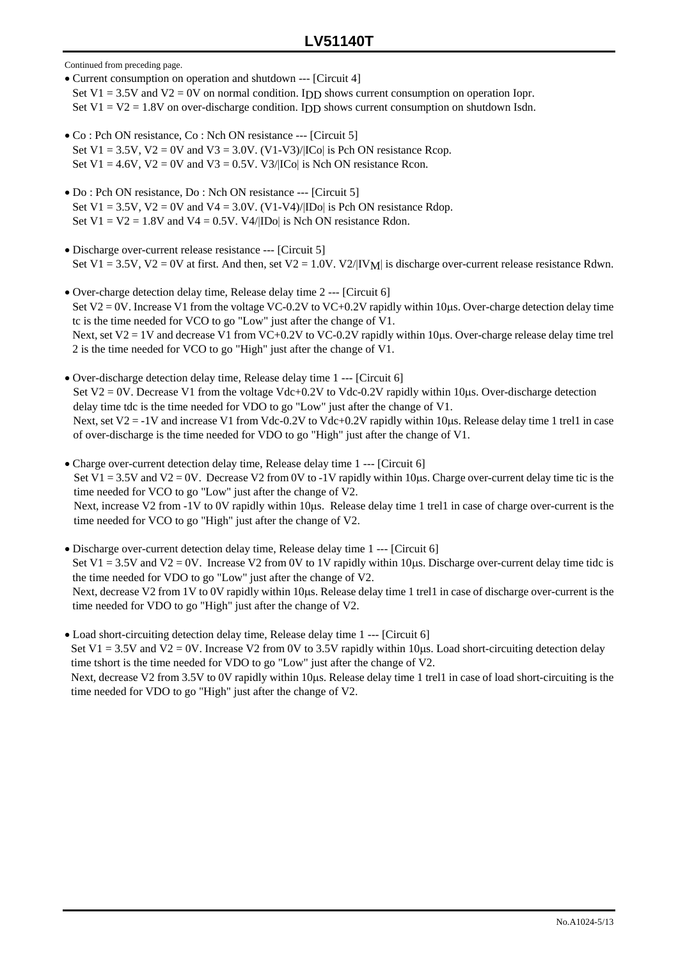Continued from preceding page.

- Current consumption on operation and shutdown --- [Circuit 4] Set V1 = 3.5V and V2 = 0V on normal condition. I<sub>DD</sub> shows current consumption on operation Iopr. Set  $V1 = V2 = 1.8V$  on over-discharge condition. IDD shows current consumption on shutdown Isdn.
- Co : Pch ON resistance, Co : Nch ON resistance --- [Circuit 5] Set V1 =  $3.5V$ , V2 = 0V and V3 =  $3.0V$ . (V1-V3)/[ICo] is Pch ON resistance Rcop. Set  $V1 = 4.6V$ ,  $V2 = 0V$  and  $V3 = 0.5V$ .  $V3/|C_0|$  is Nch ON resistance Rcon.
- Do : Pch ON resistance, Do : Nch ON resistance --- [Circuit 5] Set  $V1 = 3.5V$ ,  $V2 = 0V$  and  $V4 = 3.0V$ .  $(V1-V4)/|ID_0|$  is Pch ON resistance Rdop. Set  $V1 = V2 = 1.8V$  and  $V4 = 0.5V$ .  $V4/|ID_0|$  is Nch ON resistance Rdon.
- Discharge over-current release resistance --- [Circuit 5] Set V1 = 3.5V, V2 = 0V at first. And then, set V2 = 1.0V. V2/|IV<sub>M</sub>| is discharge over-current release resistance Rdwn.
- Over-charge detection delay time, Release delay time 2 --- [Circuit 6] Set  $V2 = 0V$ . Increase V1 from the voltage VC-0.2V to VC+0.2V rapidly within 10us. Over-charge detection delay time tc is the time needed for VCO to go "Low" just after the change of V1. Next, set  $V2 = 1V$  and decrease V1 from VC+0.2V to VC-0.2V rapidly within 10 $\mu$ s. Over-charge release delay time trel 2 is the time needed for VCO to go "High" just after the change of V1.
- Over-discharge detection delay time, Release delay time 1 --- [Circuit 6] Set V2 = 0V. Decrease V1 from the voltage Vdc+0.2V to Vdc-0.2V rapidly within 10us. Over-discharge detection delay time tdc is the time needed for VDO to go "Low" just after the change of V1. Next, set  $V2 = -1V$  and increase V1 from Vdc-0.2V to Vdc+0.2V rapidly within 10µs. Release delay time 1 trel1 in case of over-discharge is the time needed for VDO to go "High" just after the change of V1.
- Charge over-current detection delay time, Release delay time 1 --- [Circuit 6] Set V1 = 3.5V and V2 = 0V. Decrease V2 from 0V to -1V rapidly within 10 $\mu$ s. Charge over-current delay time tic is the time needed for VCO to go "Low" just after the change of V2. Next, increase V2 from -1V to 0V rapidly within 10µs. Release delay time 1 trel1 in case of charge over-current is the time needed for VCO to go "High" just after the change of V2.
- Discharge over-current detection delay time, Release delay time 1 --- [Circuit 6] Set V1 = 3.5V and V2 = 0V. Increase V2 from 0V to 1V rapidly within 10 us. Discharge over-current delay time tidc is the time needed for VDO to go "Low" just after the change of V2. Next, decrease V2 from 1V to 0V rapidly within 10µs. Release delay time 1 trel1 in case of discharge over-current is the time needed for VDO to go "High" just after the change of V2.
- Load short-circuiting detection delay time, Release delay time 1 --- [Circuit 6] Set V1 = 3.5V and V2 = 0V. Increase V2 from 0V to 3.5V rapidly within 10 $\mu$ s. Load short-circuiting detection delay time tshort is the time needed for VDO to go "Low" just after the change of V2. Next, decrease V2 from 3.5V to 0V rapidly within 10µs. Release delay time 1 trel1 in case of load short-circuiting is the time needed for VDO to go "High" just after the change of V2.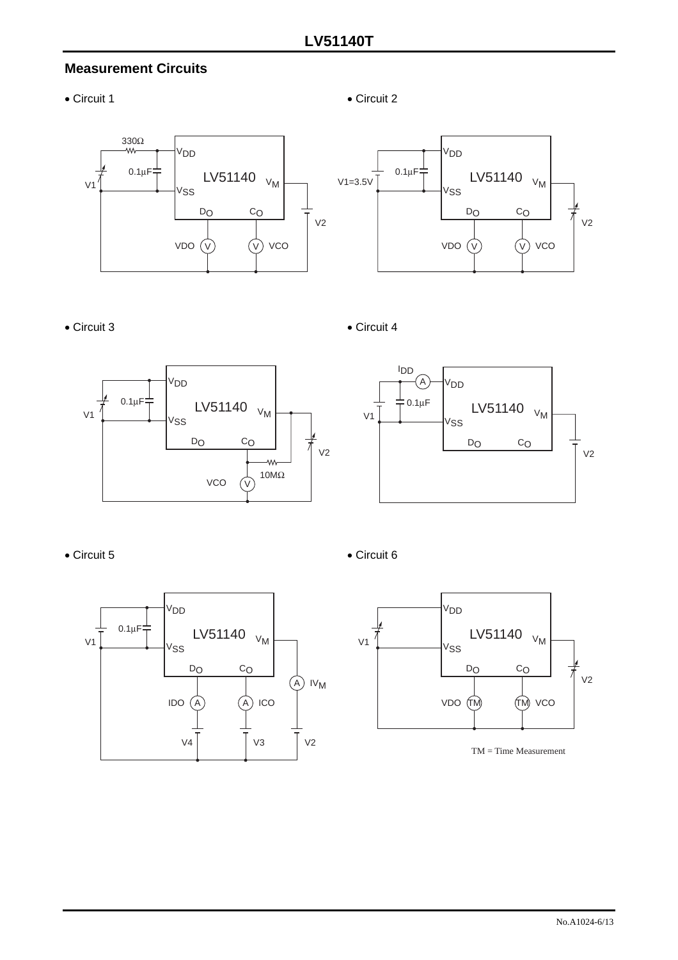# **Measurement Circuits**







### • Circuit 3 • Circuit 4





• Circuit 5 • Circuit 6





TM = Time Measurement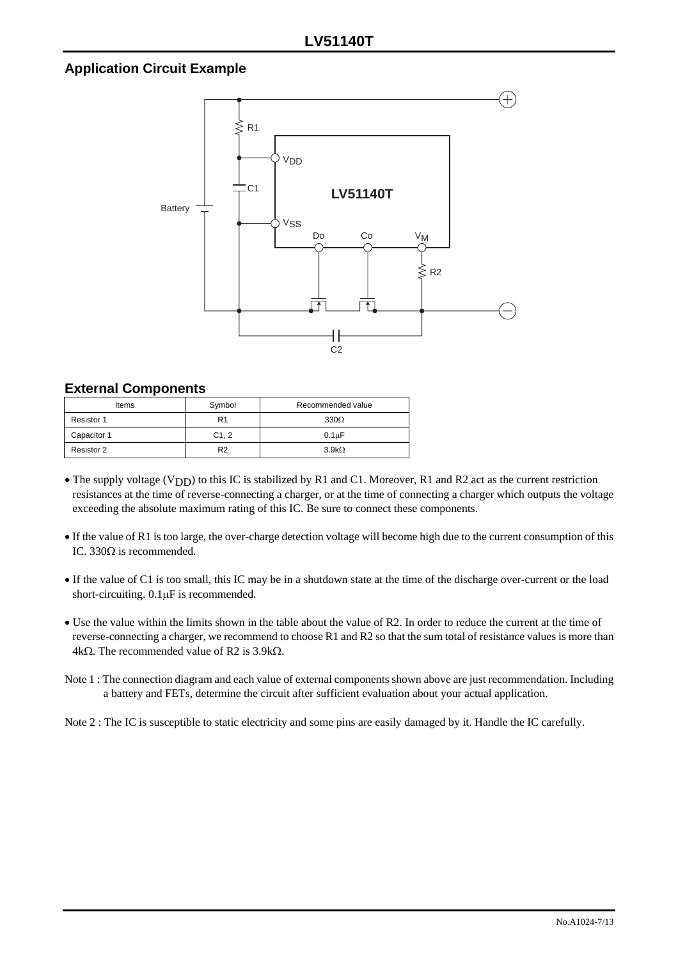# **Application Circuit Example**



#### **External Components**

| Items       | Symbol         | Recommended value  |
|-------------|----------------|--------------------|
| Resistor 1  | R1             | $330\Omega$        |
| Capacitor 1 | C1.2           | 0.1 <sub>u</sub> F |
| Resistor 2  | R <sub>2</sub> | $3.9k\Omega$       |

- The supply voltage (VDD) to this IC is stabilized by R1 and C1. Moreover, R1 and R2 act as the current restriction resistances at the time of reverse-connecting a charger, or at the time of connecting a charger which outputs the voltage exceeding the absolute maximum rating of this IC. Be sure to connect these components.
- If the value of R1 is too large, the over-charge detection voltage will become high due to the current consumption of this IC. 330Ω is recommended.
- If the value of C1 is too small, this IC may be in a shutdown state at the time of the discharge over-current or the load short-circuiting. 0.1µF is recommended.
- Use the value within the limits shown in the table about the value of R2. In order to reduce the current at the time of reverse-connecting a charger, we recommend to choose R1 and R2 so that the sum total of resistance values is more than 4kΩ. The recommended value of R2 is 3.9kΩ.
- Note 1 : The connection diagram and each value of external components shown above are just recommendation. Including a battery and FETs, determine the circuit after sufficient evaluation about your actual application.

Note 2 : The IC is susceptible to static electricity and some pins are easily damaged by it. Handle the IC carefully.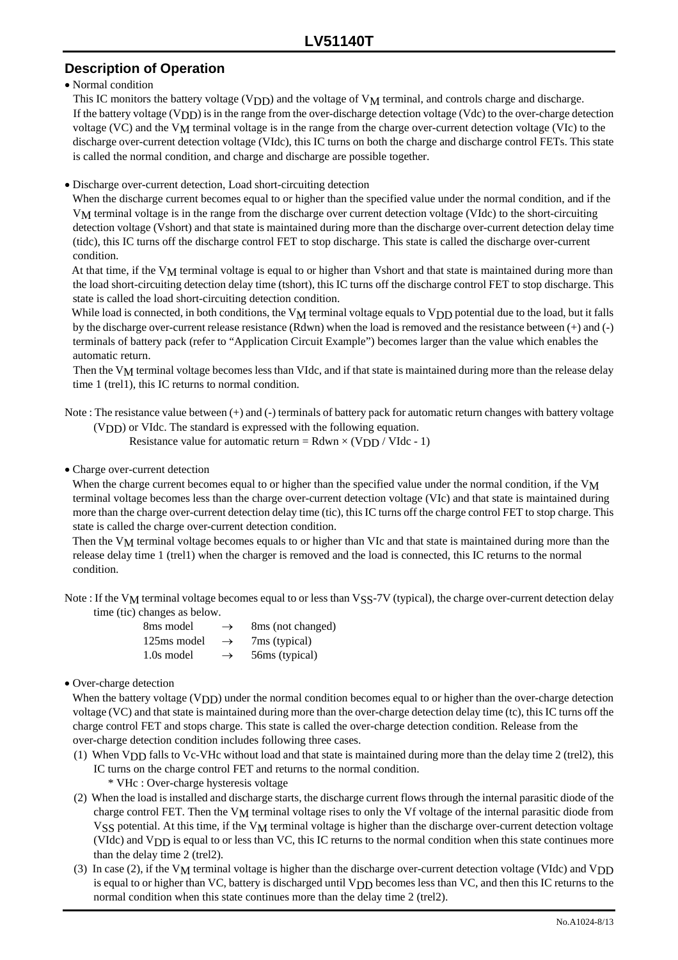# **Description of Operation**

#### • Normal condition

This IC monitors the battery voltage (V<sub>DD</sub>) and the voltage of V<sub>M</sub> terminal, and controls charge and discharge. If the battery voltage  $(V<sub>DD</sub>)$  is in the range from the over-discharge detection voltage (Vdc) to the over-charge detection voltage (VC) and the VM terminal voltage is in the range from the charge over-current detection voltage (VIc) to the discharge over-current detection voltage (VIdc), this IC turns on both the charge and discharge control FETs. This state is called the normal condition, and charge and discharge are possible together.

• Discharge over-current detection, Load short-circuiting detection

When the discharge current becomes equal to or higher than the specified value under the normal condition, and if the VM terminal voltage is in the range from the discharge over current detection voltage (VIdc) to the short-circuiting detection voltage (Vshort) and that state is maintained during more than the discharge over-current detection delay time (tidc), this IC turns off the discharge control FET to stop discharge. This state is called the discharge over-current condition.

At that time, if the V<sub>M</sub> terminal voltage is equal to or higher than Vshort and that state is maintained during more than the load short-circuiting detection delay time (tshort), this IC turns off the discharge control FET to stop discharge. This state is called the load short-circuiting detection condition.

While load is connected, in both conditions, the  $V_M$  terminal voltage equals to  $V_{DD}$  potential due to the load, but it falls by the discharge over-current release resistance (Rdwn) when the load is removed and the resistance between (+) and (-) terminals of battery pack (refer to "Application Circuit Example") becomes larger than the value which enables the automatic return.

Then the  $V_M$  terminal voltage becomes less than VIdc, and if that state is maintained during more than the release delay time 1 (trel1), this IC returns to normal condition.

Note : The resistance value between (+) and (-) terminals of battery pack for automatic return changes with battery voltage  $(V<sub>DD</sub>)$  or VIdc. The standard is expressed with the following equation.

Resistance value for automatic return =  $Rdwn \times (VDD / VIdc - 1)$ 

#### • Charge over-current detection

When the charge current becomes equal to or higher than the specified value under the normal condition, if the V<sub>M</sub> terminal voltage becomes less than the charge over-current detection voltage (VIc) and that state is maintained during more than the charge over-current detection delay time (tic), this IC turns off the charge control FET to stop charge. This state is called the charge over-current detection condition.

Then the V<sub>M</sub> terminal voltage becomes equals to or higher than VIc and that state is maintained during more than the release delay time 1 (trel1) when the charger is removed and the load is connected, this IC returns to the normal condition.

Note : If the V<sub>M</sub> terminal voltage becomes equal to or less than VSS-7V (typical), the charge over-current detection delay time (tic) changes as below.

| 8 <sub>ms</sub> model | $\rightarrow$ | 8 ms (not changed) |
|-----------------------|---------------|--------------------|
| 125ms model           | $\rightarrow$ | 7ms (typical)      |
| 1.0s model            | $\rightarrow$ | 56ms (typical)     |

#### • Over-charge detection

When the battery voltage  $(V<sub>DD</sub>)$  under the normal condition becomes equal to or higher than the over-charge detection voltage (VC) and that state is maintained during more than the over-charge detection delay time (tc), this IC turns off the charge control FET and stops charge. This state is called the over-charge detection condition. Release from the over-charge detection condition includes following three cases.

(1) When VDD falls to Vc-VHc without load and that state is maintained during more than the delay time 2 (trel2), this IC turns on the charge control FET and returns to the normal condition.

\* VHc : Over-charge hysteresis voltage

- (2) When the load is installed and discharge starts, the discharge current flows through the internal parasitic diode of the charge control FET. Then the  $V_M$  terminal voltage rises to only the Vf voltage of the internal parasitic diode from VSS potential. At this time, if the V<sub>M</sub> terminal voltage is higher than the discharge over-current detection voltage (VIdc) and VDD is equal to or less than VC, this IC returns to the normal condition when this state continues more than the delay time 2 (trel2).
- (3) In case (2), if the  $V_M$  terminal voltage is higher than the discharge over-current detection voltage (VIdc) and  $V_{DD}$ is equal to or higher than VC, battery is discharged until V<sub>DD</sub> becomes less than VC, and then this IC returns to the normal condition when this state continues more than the delay time 2 (trel2).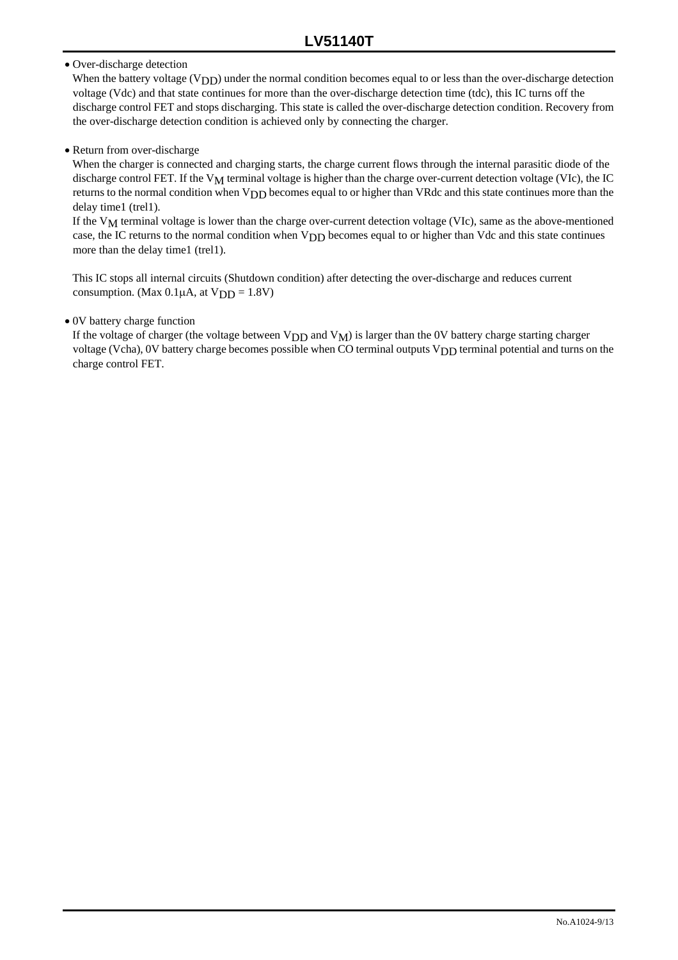#### • Over-discharge detection

When the battery voltage (V<sub>DD</sub>) under the normal condition becomes equal to or less than the over-discharge detection voltage (Vdc) and that state continues for more than the over-discharge detection time (tdc), this IC turns off the discharge control FET and stops discharging. This state is called the over-discharge detection condition. Recovery from the over-discharge detection condition is achieved only by connecting the charger.

#### • Return from over-discharge

When the charger is connected and charging starts, the charge current flows through the internal parasitic diode of the discharge control FET. If the V<sub>M</sub> terminal voltage is higher than the charge over-current detection voltage (VIc), the IC returns to the normal condition when V<sub>DD</sub> becomes equal to or higher than VRdc and this state continues more than the delay time1 (trel1).

If the  $V_M$  terminal voltage is lower than the charge over-current detection voltage (VIc), same as the above-mentioned case, the IC returns to the normal condition when VDD becomes equal to or higher than Vdc and this state continues more than the delay time1 (trel1).

This IC stops all internal circuits (Shutdown condition) after detecting the over-discharge and reduces current consumption. (Max  $0.1\mu$ A, at  $VDD = 1.8V$ )

#### • 0V battery charge function

If the voltage of charger (the voltage between  $V_{DD}$  and  $V_M$ ) is larger than the 0V battery charge starting charger voltage (Vcha), 0V battery charge becomes possible when CO terminal outputs V<sub>DD</sub> terminal potential and turns on the charge control FET.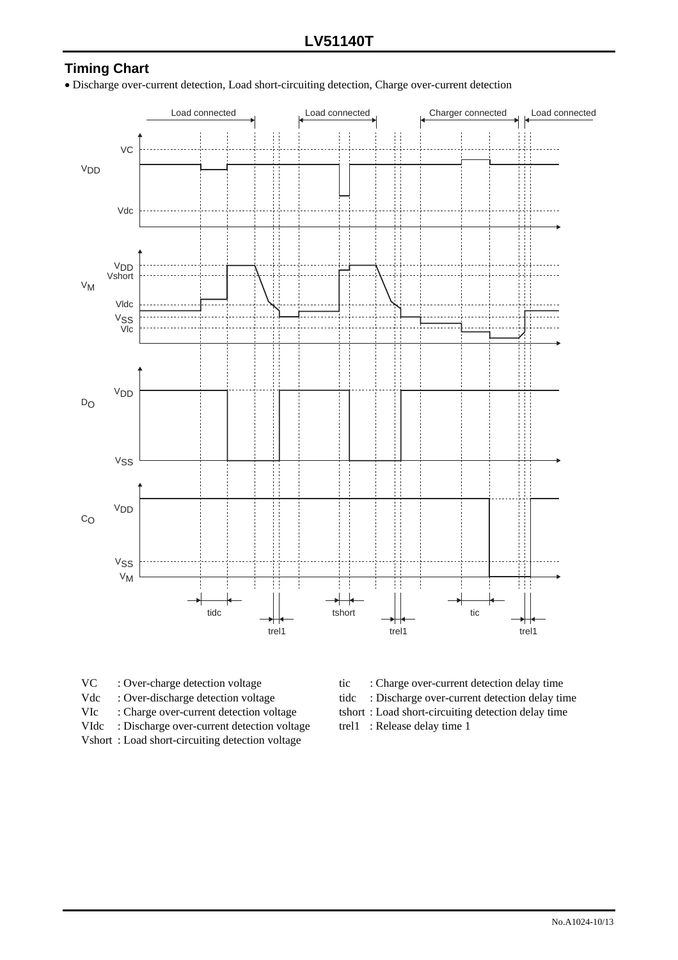# **Timing Chart**

• Discharge over-current detection, Load short-circuiting detection, Charge over-current detection



- 
- 
- 
- VIdc : Discharge over-current detection voltage trel1 : Release delay time 1

Vshort : Load short-circuiting detection voltage

- VC : Over-charge detection voltage tic : Charge over-current detection delay time Vdc : Over-discharge detection voltage tidc : Discharge over-current detection delay time VIc : Charge over-current detection voltage tshort : Load short-circuiting detection delay time
	-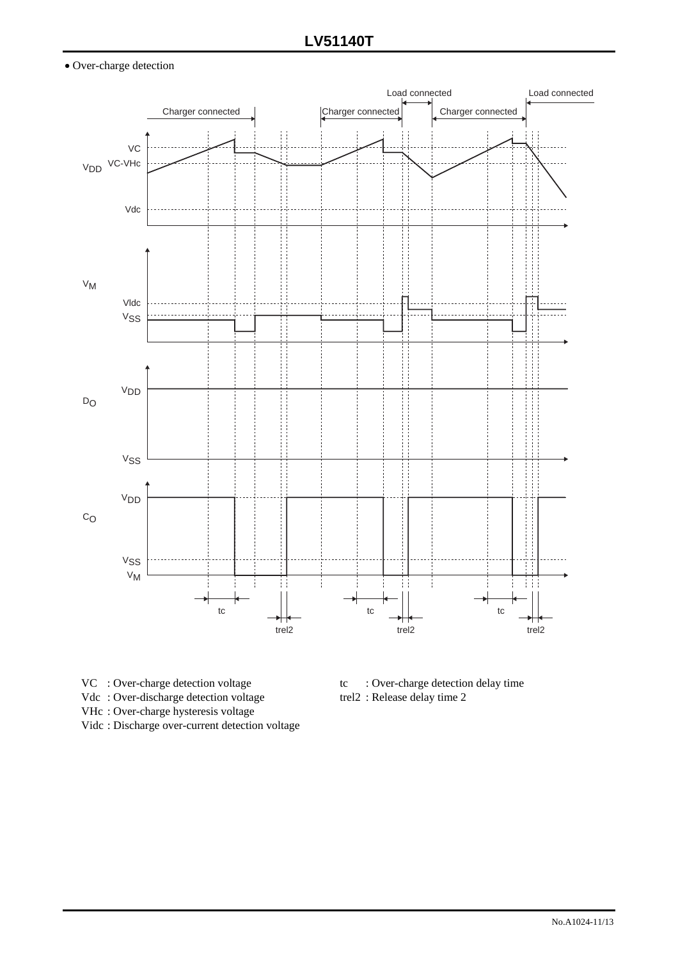#### • Over-charge detection



- 
- Vdc: Over-discharge detection voltage trel2 : Release delay time 2
- VHc : Over-charge hysteresis voltage
- Vidc : Discharge over-current detection voltage
- VC : Over-charge detection voltage tc : Over-charge detection delay time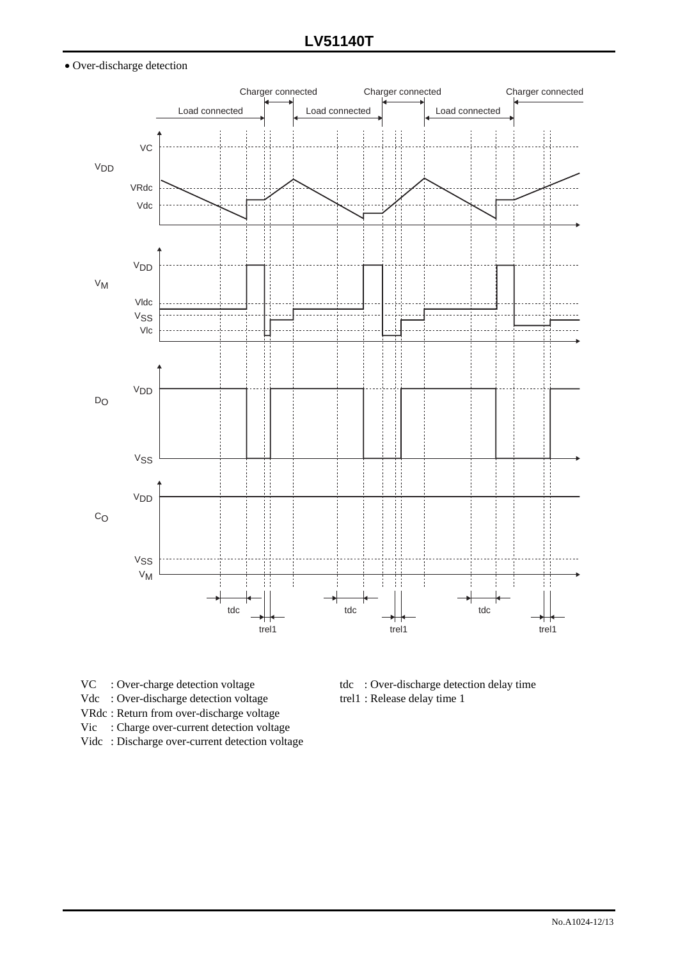#### • Over-discharge detection



- 
- Vdc : Over-discharge detection voltage trel1 : Release delay time 1
- VRdc : Return from over-discharge voltage
- Vic : Charge over-current detection voltage
- Vidc : Discharge over-current detection voltage
- VC : Over-charge detection voltage tdc : Over-discharge detection delay time
	-